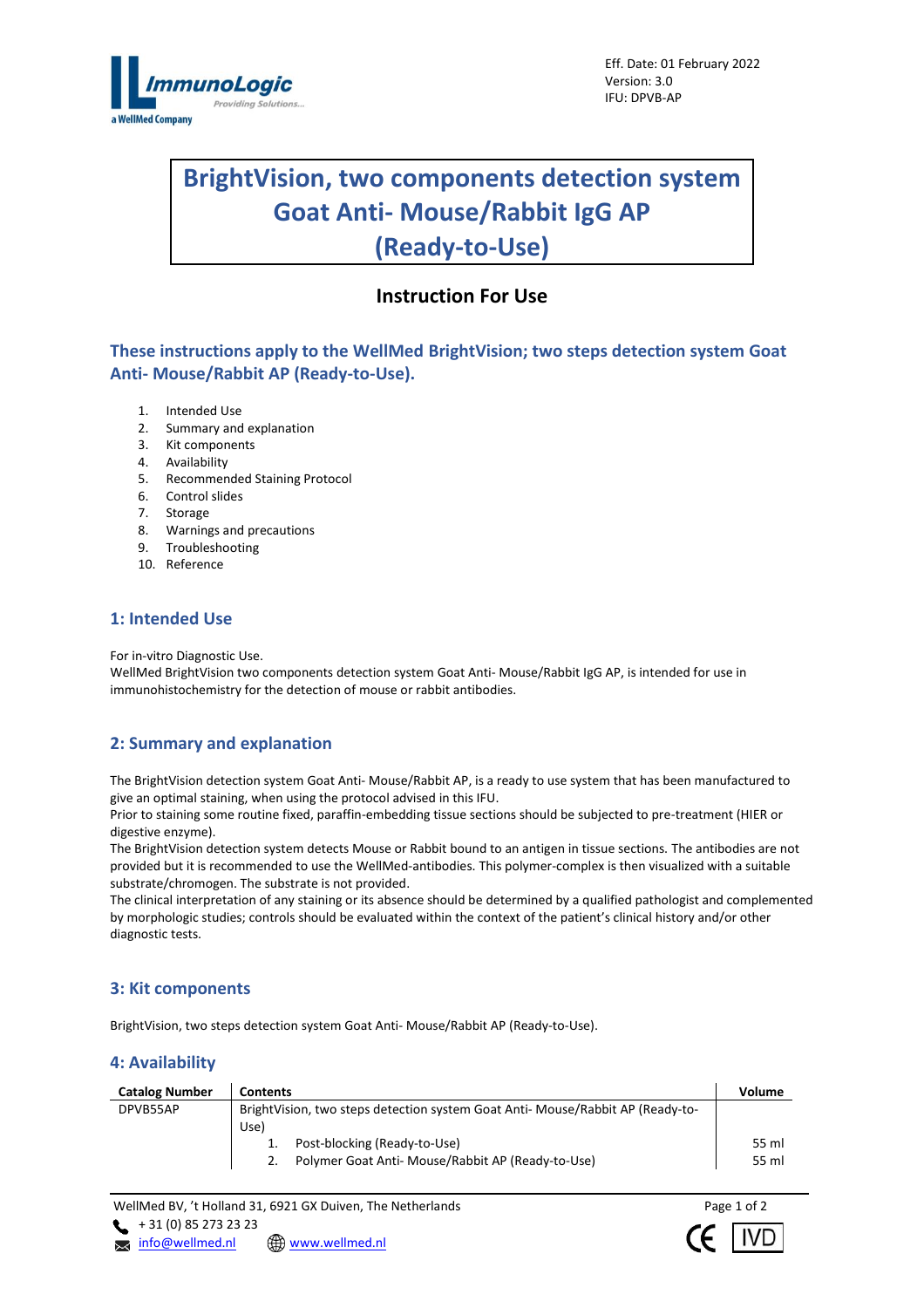

# **BrightVision, two components detection system Goat Anti- Mouse/Rabbit IgG AP (Ready-to-Use)**

## **Instruction For Use**

**These instructions apply to the WellMed BrightVision; two steps detection system Goat Anti- Mouse/Rabbit AP (Ready-to-Use).**

- 1. Intended Use
- 2. Summary and explanation
- 3. Kit components
- 4. Availability
- 5. Recommended Staining Protocol
- 6. Control slides
- 7. Storage
- 8. Warnings and precautions
- 9. Troubleshooting
- 10. Reference

## **1: Intended Use**

For in-vitro Diagnostic Use.

WellMed BrightVision two components detection system Goat Anti- Mouse/Rabbit IgG AP, is intended for use in immunohistochemistry for the detection of mouse or rabbit antibodies.

## **2: Summary and explanation**

The BrightVision detection system Goat Anti- Mouse/Rabbit AP, is a ready to use system that has been manufactured to give an optimal staining, when using the protocol advised in this IFU.

Prior to staining some routine fixed, paraffin-embedding tissue sections should be subjected to pre-treatment (HIER or digestive enzyme).

The BrightVision detection system detects Mouse or Rabbit bound to an antigen in tissue sections. The antibodies are not provided but it is recommended to use the WellMed-antibodies. This polymer-complex is then visualized with a suitable substrate/chromogen. The substrate is not provided.

The clinical interpretation of any staining or its absence should be determined by a qualified pathologist and complemented by morphologic studies; controls should be evaluated within the context of the patient's clinical history and/or other diagnostic tests.

## **3: Kit components**

BrightVision, two steps detection system Goat Anti- Mouse/Rabbit AP (Ready-to-Use).

## **4: Availability**

| <b>Catalog Number</b> | <b>Contents</b>                                                                | Volume |  |
|-----------------------|--------------------------------------------------------------------------------|--------|--|
| DPVB55AP              | BrightVision, two steps detection system Goat Anti- Mouse/Rabbit AP (Ready-to- |        |  |
|                       | Use)                                                                           |        |  |
|                       | Post-blocking (Ready-to-Use)                                                   | 55 ml  |  |
|                       | Polymer Goat Anti- Mouse/Rabbit AP (Ready-to-Use)                              | 55 ml  |  |